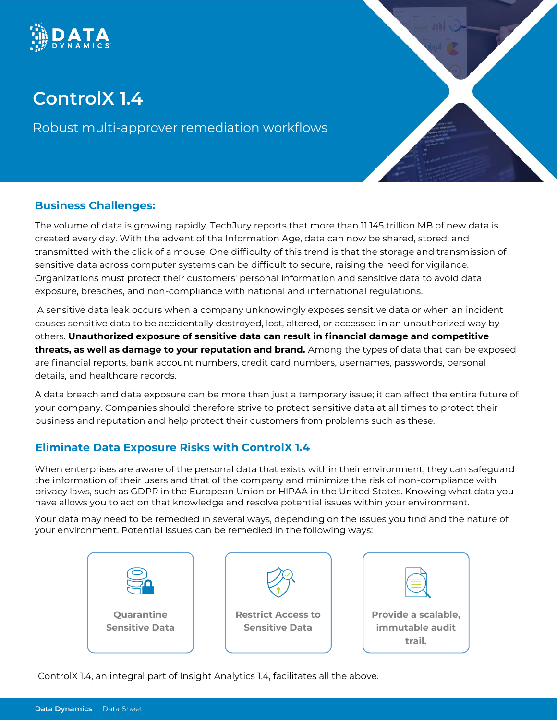

# **ControlX 1.4**

Robust multi-approver remediation workflows

## **Business Challenges:**

The volume of data is growing rapidly. TechJury reports that more than 11.145 trillion MB of new data is created every day. With the advent of the Information Age, data can now be shared, stored, and transmitted with the click of a mouse. One difficulty of this trend is that the storage and transmission of sensitive data across computer systems can be difficult to secure, raising the need for vigilance. Organizations must protect their customers' personal information and sensitive data to avoid data exposure, breaches, and non-compliance with national and international regulations.

A sensitive data leak occurs when a company unknowingly exposes sensitive data or when an incident causes sensitive data to be accidentally destroyed, lost, altered, or accessed in an unauthorized way by others. **Unauthorized exposure of sensitive data can result in financial damage and competitive threats, as well as damage to your reputation and brand.** Among the types of data that can be exposed are financial reports, bank account numbers, credit card numbers, usernames, passwords, personal details, and healthcare records.

A data breach and data exposure can be more than just a temporary issue; it can affect the entire future of your company. Companies should therefore strive to protect sensitive data at all times to protect their business and reputation and help protect their customers from problems such as these.

# **Eliminate Data Exposure Risks with ControlX 1.4**

When enterprises are aware of the personal data that exists within their environment, they can safeguard the information of their users and that of the company and minimize the risk of non-compliance with privacy laws, such as GDPR in the European Union or HIPAA in the United States. Knowing what data you have allows you to act on that knowledge and resolve potential issues within your environment.

Your data may need to be remedied in several ways, depending on the issues you find and the nature of your environment. Potential issues can be remedied in the following ways:



ControlX 1.4, an integral part of Insight Analytics 1.4, facilitates all the above.